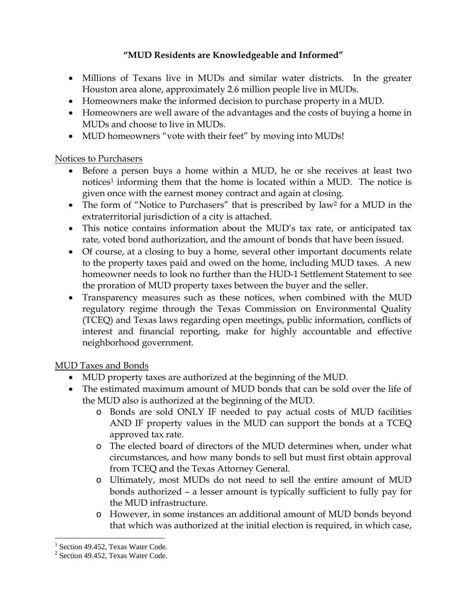## **"MUD Residents are Knowledgeable and Informed"**

- Millions of Texans live in MUDs and similar water districts. In the greater Houston area alone, approximately 2.6 million people live in MUDs.
- Homeowners make the informed decision to purchase property in a MUD.
- Homeowners are well aware of the advantages and the costs of buying a home in MUDs and choose to live in MUDs.
- MUD homeowners "vote with their feet" by moving into MUDs!

### Notices to Purchasers

- Before a person buys a home within a MUD, he or she receives at least two notices<sup>1</sup> informing them that the home is located within a MUD. The notice is given once with the earnest money contract and again at closing.
- The form of "Notice to Purchasers" that is prescribed by law<sup>2</sup> for a MUD in the extraterritorial jurisdiction of a city is attached.
- This notice contains information about the MUD's tax rate, or anticipated tax rate, voted bond authorization, and the amount of bonds that have been issued.
- Of course, at a closing to buy a home, several other important documents relate to the property taxes paid and owed on the home, including MUD taxes. A new homeowner needs to look no further than the HUD-1 Settlement Statement to see the proration of MUD property taxes between the buyer and the seller.
- Transparency measures such as these notices, when combined with the MUD regulatory regime through the Texas Commission on Environmental Quality (TCEQ) and Texas laws regarding open meetings, public information, conflicts of interest and financial reporting, make for highly accountable and effective neighborhood government.

# MUD Taxes and Bonds

- MUD property taxes are authorized at the beginning of the MUD.
- The estimated maximum amount of MUD bonds that can be sold over the life of the MUD also is authorized at the beginning of the MUD.
	- o Bonds are sold ONLY IF needed to pay actual costs of MUD facilities AND IF property values in the MUD can support the bonds at a TCEQ approved tax rate.
	- o The elected board of directors of the MUD determines when, under what circumstances, and how many bonds to sell but must first obtain approval from TCEQ and the Texas Attorney General.
	- o Ultimately, most MUDs do not need to sell the entire amount of MUD bonds authorized – a lesser amount is typically sufficient to fully pay for the MUD infrastructure.
	- o However, in some instances an additional amount of MUD bonds beyond that which was authorized at the initial election is required, in which case,

 $\overline{a}$ 

<sup>&</sup>lt;sup>1</sup> Section 49.452, Texas Water Code.

<sup>&</sup>lt;sup>2</sup> Section 49.452, Texas Water Code.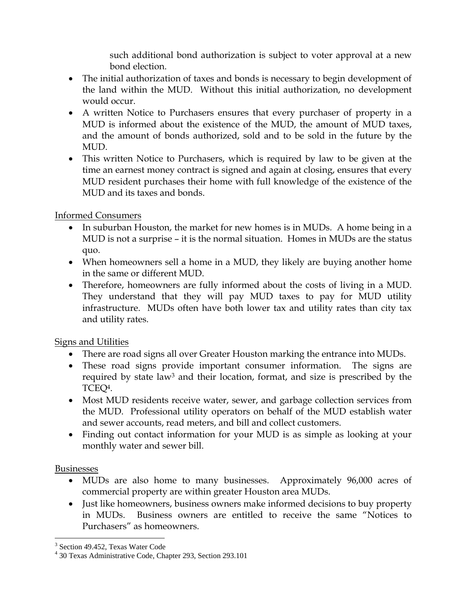such additional bond authorization is subject to voter approval at a new bond election.

- The initial authorization of taxes and bonds is necessary to begin development of the land within the MUD. Without this initial authorization, no development would occur.
- A written Notice to Purchasers ensures that every purchaser of property in a MUD is informed about the existence of the MUD, the amount of MUD taxes, and the amount of bonds authorized, sold and to be sold in the future by the MUD.
- This written Notice to Purchasers, which is required by law to be given at the time an earnest money contract is signed and again at closing, ensures that every MUD resident purchases their home with full knowledge of the existence of the MUD and its taxes and bonds.

## Informed Consumers

- In suburban Houston, the market for new homes is in MUDs. A home being in a MUD is not a surprise – it is the normal situation. Homes in MUDs are the status quo.
- When homeowners sell a home in a MUD, they likely are buying another home in the same or different MUD.
- Therefore, homeowners are fully informed about the costs of living in a MUD. They understand that they will pay MUD taxes to pay for MUD utility infrastructure. MUDs often have both lower tax and utility rates than city tax and utility rates.

# Signs and Utilities

- There are road signs all over Greater Houston marking the entrance into MUDs.
- These road signs provide important consumer information. The signs are required by state law<sup>3</sup> and their location, format, and size is prescribed by the TCEQ4.
- Most MUD residents receive water, sewer, and garbage collection services from the MUD. Professional utility operators on behalf of the MUD establish water and sewer accounts, read meters, and bill and collect customers.
- Finding out contact information for your MUD is as simple as looking at your monthly water and sewer bill.

### Businesses

- MUDs are also home to many businesses. Approximately 96,000 acres of commercial property are within greater Houston area MUDs.
- Just like homeowners, business owners make informed decisions to buy property in MUDs. Business owners are entitled to receive the same "Notices to Purchasers" as homeowners.

 $\overline{a}$ 3 Section 49.452, Texas Water Code

<sup>4</sup> 30 Texas Administrative Code, Chapter 293, Section 293.101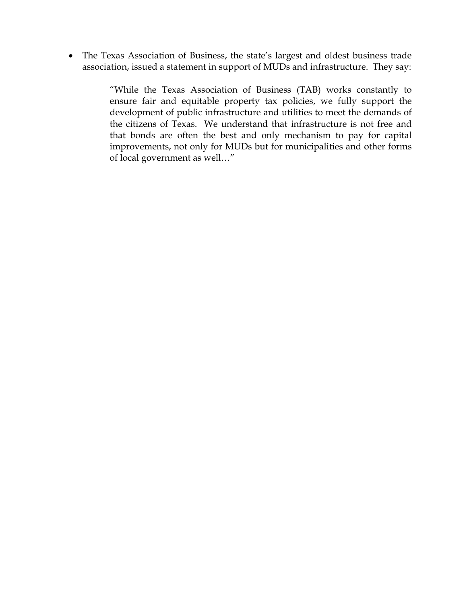The Texas Association of Business, the state's largest and oldest business trade association, issued a statement in support of MUDs and infrastructure. They say:

> "While the Texas Association of Business (TAB) works constantly to ensure fair and equitable property tax policies, we fully support the development of public infrastructure and utilities to meet the demands of the citizens of Texas. We understand that infrastructure is not free and that bonds are often the best and only mechanism to pay for capital improvements, not only for MUDs but for municipalities and other forms of local government as well…"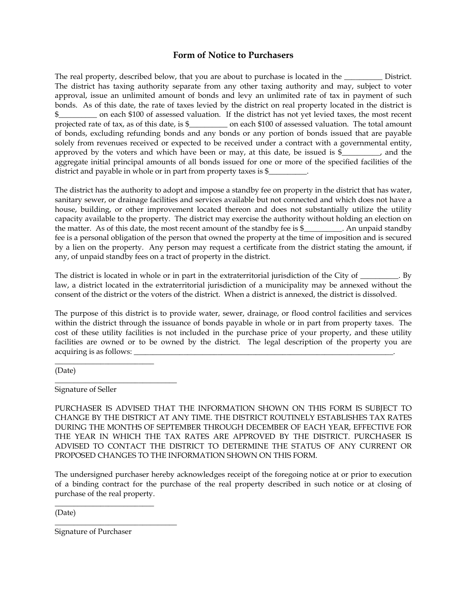#### **Form of Notice to Purchasers**

The real property, described below, that you are about to purchase is located in the \_\_\_\_\_\_\_\_\_\_\_\_ District. The district has taxing authority separate from any other taxing authority and may, subject to voter approval, issue an unlimited amount of bonds and levy an unlimited rate of tax in payment of such bonds. As of this date, the rate of taxes levied by the district on real property located in the district is on each \$100 of assessed valuation. If the district has not yet levied taxes, the most recent projected rate of tax, as of this date, is \$\_\_\_\_\_\_\_\_\_\_ on each \$100 of assessed valuation. The total amount of bonds, excluding refunding bonds and any bonds or any portion of bonds issued that are payable solely from revenues received or expected to be received under a contract with a governmental entity, approved by the voters and which have been or may, at this date, be issued is  $\frac{1}{2}$ , and the aggregate initial principal amounts of all bonds issued for one or more of the specified facilities of the district and payable in whole or in part from property taxes is  $\frac{1}{2}$ 

The district has the authority to adopt and impose a standby fee on property in the district that has water, sanitary sewer, or drainage facilities and services available but not connected and which does not have a house, building, or other improvement located thereon and does not substantially utilize the utility capacity available to the property. The district may exercise the authority without holding an election on the matter. As of this date, the most recent amount of the standby fee is \$\_\_\_\_\_\_\_\_\_\_. An unpaid standby fee is a personal obligation of the person that owned the property at the time of imposition and is secured by a lien on the property. Any person may request a certificate from the district stating the amount, if any, of unpaid standby fees on a tract of property in the district.

The district is located in whole or in part in the extraterritorial jurisdiction of the City of \_\_\_\_\_\_\_\_. By law, a district located in the extraterritorial jurisdiction of a municipality may be annexed without the consent of the district or the voters of the district. When a district is annexed, the district is dissolved.

The purpose of this district is to provide water, sewer, drainage, or flood control facilities and services within the district through the issuance of bonds payable in whole or in part from property taxes. The cost of these utility facilities is not included in the purchase price of your property, and these utility facilities are owned or to be owned by the district. The legal description of the property you are acquiring is as follows:  $\qquad \qquad \qquad$ 

(Date)

Signature of Seller

\_\_\_\_\_\_\_\_\_\_\_\_\_\_\_\_\_\_\_\_\_\_\_\_\_\_

\_\_\_\_\_\_\_\_\_\_\_\_\_\_\_\_\_\_\_\_\_\_\_\_\_\_\_\_\_\_\_\_

PURCHASER IS ADVISED THAT THE INFORMATION SHOWN ON THIS FORM IS SUBJECT TO CHANGE BY THE DISTRICT AT ANY TIME. THE DISTRICT ROUTINELY ESTABLISHES TAX RATES DURING THE MONTHS OF SEPTEMBER THROUGH DECEMBER OF EACH YEAR, EFFECTIVE FOR THE YEAR IN WHICH THE TAX RATES ARE APPROVED BY THE DISTRICT. PURCHASER IS ADVISED TO CONTACT THE DISTRICT TO DETERMINE THE STATUS OF ANY CURRENT OR PROPOSED CHANGES TO THE INFORMATION SHOWN ON THIS FORM.

The undersigned purchaser hereby acknowledges receipt of the foregoing notice at or prior to execution of a binding contract for the purchase of the real property described in such notice or at closing of purchase of the real property.

(Date)

Signature of Purchaser

\_\_\_\_\_\_\_\_\_\_\_\_\_\_\_\_\_\_\_\_\_\_\_\_\_\_

\_\_\_\_\_\_\_\_\_\_\_\_\_\_\_\_\_\_\_\_\_\_\_\_\_\_\_\_\_\_\_\_